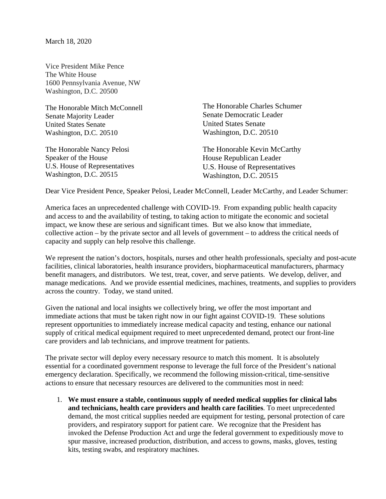March 18, 2020

Vice President Mike Pence The White House 1600 Pennsylvania Avenue, NW Washington, D.C. 20500

The Honorable Mitch McConnell Senate Majority Leader United States Senate Washington, D.C. 20510

The Honorable Nancy Pelosi Speaker of the House U.S. House of Representatives Washington, D.C. 20515

The Honorable Charles Schumer Senate Democratic Leader United States Senate Washington, D.C. 20510

The Honorable Kevin McCarthy House Republican Leader U.S. House of Representatives Washington, D.C. 20515

Dear Vice President Pence, Speaker Pelosi, Leader McConnell, Leader McCarthy, and Leader Schumer:

America faces an unprecedented challenge with COVID-19. From expanding public health capacity and access to and the availability of testing, to taking action to mitigate the economic and societal impact, we know these are serious and significant times. But we also know that immediate, collective action – by the private sector and all levels of government – to address the critical needs of capacity and supply can help resolve this challenge.

We represent the nation's doctors, hospitals, nurses and other health professionals, specialty and post-acute facilities, clinical laboratories, health insurance providers, biopharmaceutical manufacturers, pharmacy benefit managers, and distributors. We test, treat, cover, and serve patients. We develop, deliver, and manage medications. And we provide essential medicines, machines, treatments, and supplies to providers across the country. Today, we stand united.

Given the national and local insights we collectively bring, we offer the most important and immediate actions that must be taken right now in our fight against COVID-19. These solutions represent opportunities to immediately increase medical capacity and testing, enhance our national supply of critical medical equipment required to meet unprecedented demand, protect our front-line care providers and lab technicians, and improve treatment for patients.

The private sector will deploy every necessary resource to match this moment. It is absolutely essential for a coordinated government response to leverage the full force of the President's national emergency declaration. Specifically, we recommend the following mission-critical, time-sensitive actions to ensure that necessary resources are delivered to the communities most in need:

1. **We must ensure a stable, continuous supply of needed medical supplies for clinical labs and technicians, health care providers and health care facilities**. To meet unprecedented demand, the most critical supplies needed are equipment for testing, personal protection of care providers, and respiratory support for patient care. We recognize that the President has invoked the Defense Production Act and urge the federal government to expeditiously move to spur massive, increased production, distribution, and access to gowns, masks, gloves, testing kits, testing swabs, and respiratory machines.